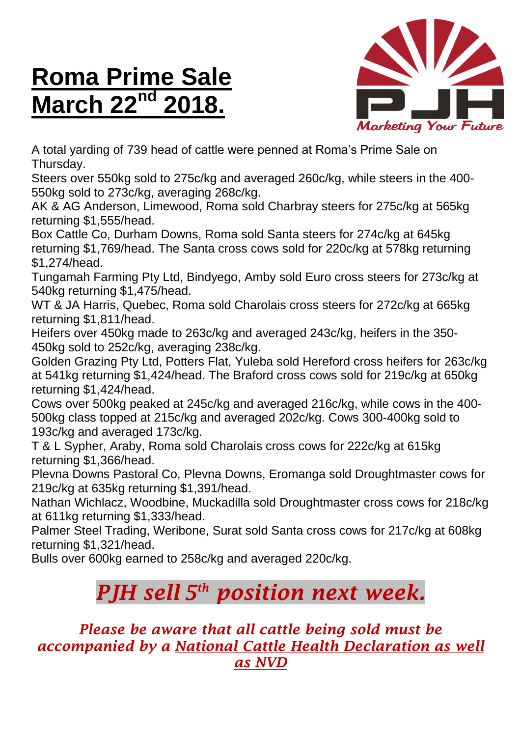## **Roma Prime Sale March 22<sup>nd</sup>**



A total yarding of 739 head of cattle were penned at Roma's Prime Sale on Thursday.

Steers over 550kg sold to 275c/kg and averaged 260c/kg, while steers in the 400- 550kg sold to 273c/kg, averaging 268c/kg.

AK & AG Anderson, Limewood, Roma sold Charbray steers for 275c/kg at 565kg returning \$1,555/head.

Box Cattle Co, Durham Downs, Roma sold Santa steers for 274c/kg at 645kg returning \$1,769/head. The Santa cross cows sold for 220c/kg at 578kg returning \$1,274/head.

Tungamah Farming Pty Ltd, Bindyego, Amby sold Euro cross steers for 273c/kg at 540kg returning \$1,475/head.

WT & JA Harris, Quebec, Roma sold Charolais cross steers for 272c/kg at 665kg returning \$1,811/head.

Heifers over 450kg made to 263c/kg and averaged 243c/kg, heifers in the 350- 450kg sold to 252c/kg, averaging 238c/kg.

Golden Grazing Pty Ltd, Potters Flat, Yuleba sold Hereford cross heifers for 263c/kg at 541kg returning \$1,424/head. The Braford cross cows sold for 219c/kg at 650kg returning \$1,424/head.

Cows over 500kg peaked at 245c/kg and averaged 216c/kg, while cows in the 400- 500kg class topped at 215c/kg and averaged 202c/kg. Cows 300-400kg sold to 193c/kg and averaged 173c/kg.

T & L Sypher, Araby, Roma sold Charolais cross cows for 222c/kg at 615kg returning \$1,366/head.

Plevna Downs Pastoral Co, Plevna Downs, Eromanga sold Droughtmaster cows for 219c/kg at 635kg returning \$1,391/head.

Nathan Wichlacz, Woodbine, Muckadilla sold Droughtmaster cross cows for 218c/kg at 611kg returning \$1,333/head.

Palmer Steel Trading, Weribone, Surat sold Santa cross cows for 217c/kg at 608kg returning \$1,321/head.

Bulls over 600kg earned to 258c/kg and averaged 220c/kg.

## *PJH sell 5 th position next week.*

## *Please be aware that all cattle being sold must be accompanied by a National Cattle Health Declaration as well as NVD*